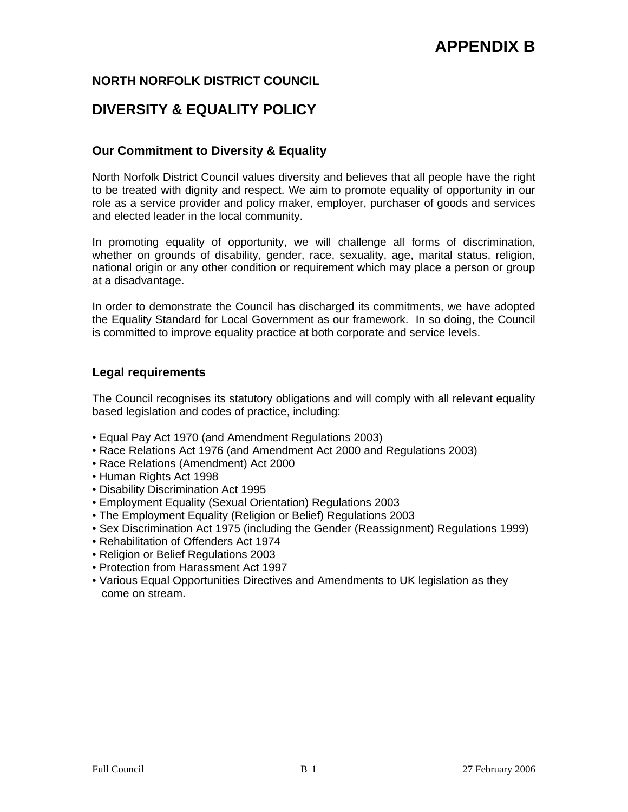# **NORTH NORFOLK DISTRICT COUNCIL**

# **DIVERSITY & EQUALITY POLICY**

# **Our Commitment to Diversity & Equality**

North Norfolk District Council values diversity and believes that all people have the right to be treated with dignity and respect. We aim to promote equality of opportunity in our role as a service provider and policy maker, employer, purchaser of goods and services and elected leader in the local community.

In promoting equality of opportunity, we will challenge all forms of discrimination, whether on grounds of disability, gender, race, sexuality, age, marital status, religion, national origin or any other condition or requirement which may place a person or group at a disadvantage.

In order to demonstrate the Council has discharged its commitments, we have adopted the Equality Standard for Local Government as our framework. In so doing, the Council is committed to improve equality practice at both corporate and service levels.

### **Legal requirements**

The Council recognises its statutory obligations and will comply with all relevant equality based legislation and codes of practice, including:

- Equal Pay Act 1970 (and Amendment Regulations 2003)
- Race Relations Act 1976 (and Amendment Act 2000 and Regulations 2003)
- Race Relations (Amendment) Act 2000
- Human Rights Act 1998
- Disability Discrimination Act 1995
- Employment Equality (Sexual Orientation) Regulations 2003
- The Employment Equality (Religion or Belief) Regulations 2003
- Sex Discrimination Act 1975 (including the Gender (Reassignment) Regulations 1999)
- Rehabilitation of Offenders Act 1974
- Religion or Belief Regulations 2003
- Protection from Harassment Act 1997
- Various Equal Opportunities Directives and Amendments to UK legislation as they come on stream.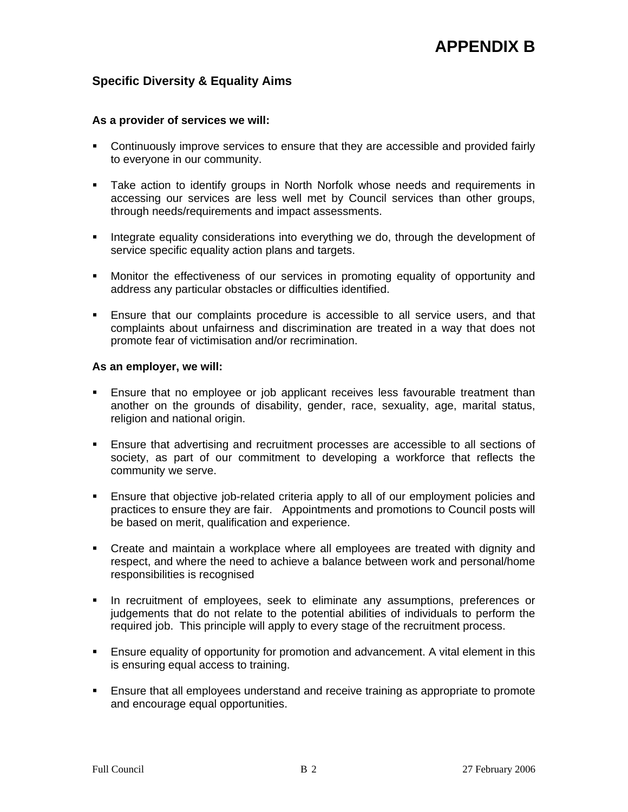## **Specific Diversity & Equality Aims**

#### **As a provider of services we will:**

- Continuously improve services to ensure that they are accessible and provided fairly to everyone in our community.
- Take action to identify groups in North Norfolk whose needs and requirements in accessing our services are less well met by Council services than other groups, through needs/requirements and impact assessments.
- **Integrate equality considerations into everything we do, through the development of** service specific equality action plans and targets.
- Monitor the effectiveness of our services in promoting equality of opportunity and address any particular obstacles or difficulties identified.
- Ensure that our complaints procedure is accessible to all service users, and that complaints about unfairness and discrimination are treated in a way that does not promote fear of victimisation and/or recrimination.

#### **As an employer, we will:**

- Ensure that no employee or job applicant receives less favourable treatment than another on the grounds of disability, gender, race, sexuality, age, marital status, religion and national origin.
- Ensure that advertising and recruitment processes are accessible to all sections of society, as part of our commitment to developing a workforce that reflects the community we serve.
- Ensure that objective job-related criteria apply to all of our employment policies and practices to ensure they are fair. Appointments and promotions to Council posts will be based on merit, qualification and experience.
- Create and maintain a workplace where all employees are treated with dignity and respect, and where the need to achieve a balance between work and personal/home responsibilities is recognised
- **In recruitment of employees, seek to eliminate any assumptions, preferences or** judgements that do not relate to the potential abilities of individuals to perform the required job. This principle will apply to every stage of the recruitment process.
- Ensure equality of opportunity for promotion and advancement. A vital element in this is ensuring equal access to training.
- Ensure that all employees understand and receive training as appropriate to promote and encourage equal opportunities.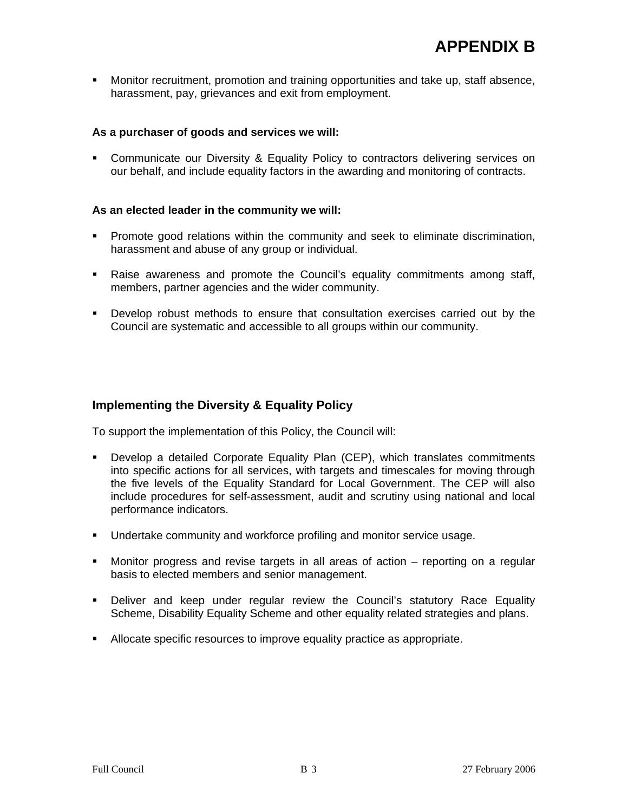Monitor recruitment, promotion and training opportunities and take up, staff absence, harassment, pay, grievances and exit from employment.

#### **As a purchaser of goods and services we will:**

 Communicate our Diversity & Equality Policy to contractors delivering services on our behalf, and include equality factors in the awarding and monitoring of contracts.

#### **As an elected leader in the community we will:**

- **Promote good relations within the community and seek to eliminate discrimination,** harassment and abuse of any group or individual.
- Raise awareness and promote the Council's equality commitments among staff, members, partner agencies and the wider community.
- Develop robust methods to ensure that consultation exercises carried out by the Council are systematic and accessible to all groups within our community.

#### **Implementing the Diversity & Equality Policy**

To support the implementation of this Policy, the Council will:

- Develop a detailed Corporate Equality Plan (CEP), which translates commitments into specific actions for all services, with targets and timescales for moving through the five levels of the Equality Standard for Local Government. The CEP will also include procedures for self-assessment, audit and scrutiny using national and local performance indicators.
- Undertake community and workforce profiling and monitor service usage.
- Monitor progress and revise targets in all areas of action reporting on a regular basis to elected members and senior management.
- Deliver and keep under regular review the Council's statutory Race Equality Scheme, Disability Equality Scheme and other equality related strategies and plans.
- Allocate specific resources to improve equality practice as appropriate.